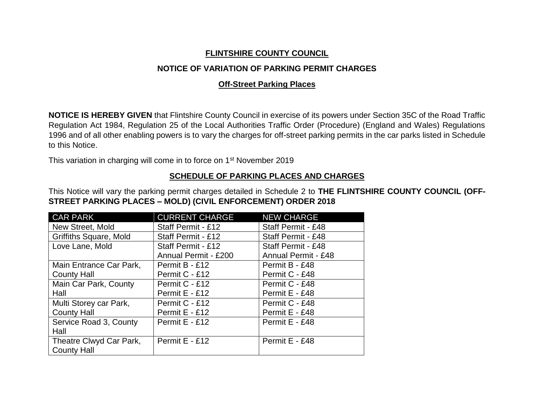## **FLINTSHIRE COUNTY COUNCIL**

## **NOTICE OF VARIATION OF PARKING PERMIT CHARGES**

## **Off-Street Parking Places**

**NOTICE IS HEREBY GIVEN** that Flintshire County Council in exercise of its powers under Section 35C of the Road Traffic Regulation Act 1984, Regulation 25 of the Local Authorities Traffic Order (Procedure) (England and Wales) Regulations 1996 and of all other enabling powers is to vary the charges for off-street parking permits in the car parks listed in Schedule to this Notice.

This variation in charging will come in to force on 1<sup>st</sup> November 2019

## **SCHEDULE OF PARKING PLACES AND CHARGES**

This Notice will vary the parking permit charges detailed in Schedule 2 to **THE FLINTSHIRE COUNTY COUNCIL (OFF-STREET PARKING PLACES – MOLD) (CIVIL ENFORCEMENT) ORDER 2018**

| <b>CAR PARK</b>               | <b>CURRENT CHARGE</b> | <b>NEW CHARGE</b>          |
|-------------------------------|-----------------------|----------------------------|
| New Street, Mold              | Staff Permit - £12    | Staff Permit - £48         |
| <b>Griffiths Square, Mold</b> | Staff Permit - £12    | Staff Permit - £48         |
| Love Lane, Mold               | Staff Permit - £12    | <b>Staff Permit - £48</b>  |
|                               | Annual Permit - £200  | <b>Annual Permit - £48</b> |
| Main Entrance Car Park,       | Permit B - £12        | Permit B - £48             |
| <b>County Hall</b>            | Permit C - £12        | Permit C - £48             |
| Main Car Park, County         | Permit C - £12        | Permit C - £48             |
| Hall                          | Permit E - £12        | Permit E - £48             |
| Multi Storey car Park,        | Permit C - £12        | Permit C - £48             |
| <b>County Hall</b>            | Permit E - £12        | Permit E - £48             |
| Service Road 3, County        | Permit E - £12        | Permit E - £48             |
| Hall                          |                       |                            |
| Theatre Clwyd Car Park,       | Permit E - £12        | Permit E - £48             |
| <b>County Hall</b>            |                       |                            |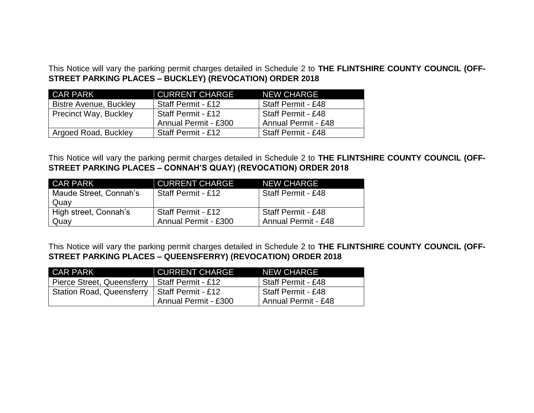This Notice will vary the parking permit charges detailed in Schedule 2 to **THE FLINTSHIRE COUNTY COUNCIL (OFF-STREET PARKING PLACES – BUCKLEY) (REVOCATION) ORDER 2018**

| <b>CAR PARK</b>               | <b>CURRENT CHARGE</b> | <b>NEW CHARGE</b>          |
|-------------------------------|-----------------------|----------------------------|
| <b>Bistre Avenue, Buckley</b> | Staff Permit - £12    | Staff Permit - £48         |
| <b>Precinct Way, Buckley</b>  | Staff Permit - £12    | Staff Permit - £48         |
|                               | Annual Permit - £300  | <b>Annual Permit - £48</b> |
| Argoed Road, Buckley          | Staff Permit - £12    | Staff Permit - £48         |

This Notice will vary the parking permit charges detailed in Schedule 2 to **THE FLINTSHIRE COUNTY COUNCIL (OFF-STREET PARKING PLACES – CONNAH'S QUAY) (REVOCATION) ORDER 2018**

| CAR PARK               | <b>CURRENT CHARGE</b> | <b>NEW CHARGE</b>   |
|------------------------|-----------------------|---------------------|
| Maude Street, Connah's | Staff Permit - £12    | Staff Permit - £48  |
| Quay                   |                       |                     |
| High street, Connah's  | Staff Permit - £12    | Staff Permit - £48  |
| Quay                   | Annual Permit - £300  | Annual Permit - £48 |

This Notice will vary the parking permit charges detailed in Schedule 2 to **THE FLINTSHIRE COUNTY COUNCIL (OFF-STREET PARKING PLACES – QUEENSFERRY) (REVOCATION) ORDER 2018**

| CAR PARK                         | <b>CURRENT CHARGE</b> | <b>NEW CHARGE</b>    |
|----------------------------------|-----------------------|----------------------|
| Pierce Street, Queensferry       | Staff Permit - £12    | Staff Permit - £48   |
| <b>Station Road, Queensferry</b> | Staff Permit - £12    | l Staff Permit - £48 |
|                                  | Annual Permit - £300  | Annual Permit - £48  |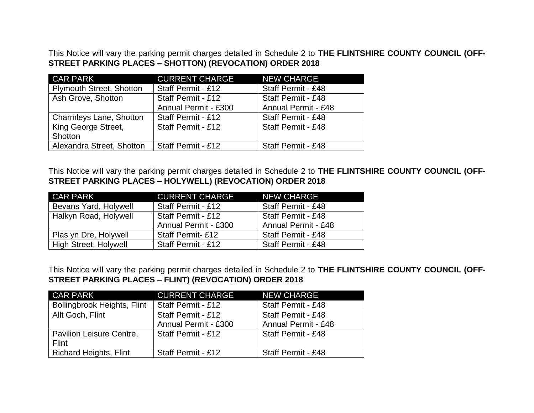This Notice will vary the parking permit charges detailed in Schedule 2 to **THE FLINTSHIRE COUNTY COUNCIL (OFF-STREET PARKING PLACES – SHOTTON) (REVOCATION) ORDER 2018**

| <b>CAR PARK</b>                 | <b>CURRENT CHARGE</b> | <b>NEW CHARGE</b>          |
|---------------------------------|-----------------------|----------------------------|
| <b>Plymouth Street, Shotton</b> | Staff Permit - £12    | Staff Permit - £48         |
| Ash Grove, Shotton              | Staff Permit - £12    | Staff Permit - £48         |
|                                 | Annual Permit - £300  | <b>Annual Permit - £48</b> |
| Charmleys Lane, Shotton         | Staff Permit - £12    | Staff Permit - £48         |
| King George Street,             | Staff Permit - £12    | Staff Permit - £48         |
| Shotton                         |                       |                            |
| Alexandra Street, Shotton       | Staff Permit - £12    | Staff Permit - £48         |

This Notice will vary the parking permit charges detailed in Schedule 2 to **THE FLINTSHIRE COUNTY COUNCIL (OFF-STREET PARKING PLACES – HOLYWELL) (REVOCATION) ORDER 2018**

| <b>CAR PARK</b><br><u> Album və sənətində ya</u> | <b>CURRENT CHARGE</b>     | <b>NEW CHARGE</b>          |
|--------------------------------------------------|---------------------------|----------------------------|
| Bevans Yard, Holywell                            | Staff Permit - £12        | Staff Permit - £48         |
| Halkyn Road, Holywell                            | <b>Staff Permit - £12</b> | Staff Permit - £48         |
|                                                  | Annual Permit - £300      | <b>Annual Permit - £48</b> |
| Plas yn Dre, Holywell                            | <b>Staff Permit-£12</b>   | Staff Permit - £48         |
| <b>High Street, Holywell</b>                     | Staff Permit - £12        | Staff Permit - £48         |

This Notice will vary the parking permit charges detailed in Schedule 2 to **THE FLINTSHIRE COUNTY COUNCIL (OFF-STREET PARKING PLACES – FLINT) (REVOCATION) ORDER 2018**

| <b>CAR PARK</b>                    | <b>CURRENT CHARGE</b> | <b>NEW CHARGE</b>          |
|------------------------------------|-----------------------|----------------------------|
| <b>Bollingbrook Heights, Flint</b> | Staff Permit - £12    | Staff Permit - £48         |
| Allt Goch, Flint                   | Staff Permit - £12    | Staff Permit - £48         |
|                                    | Annual Permit - £300  | <b>Annual Permit - £48</b> |
| Pavilion Leisure Centre,           | Staff Permit - £12    | Staff Permit - £48         |
| Flint                              |                       |                            |
| <b>Richard Heights, Flint</b>      | Staff Permit - £12    | Staff Permit - £48         |